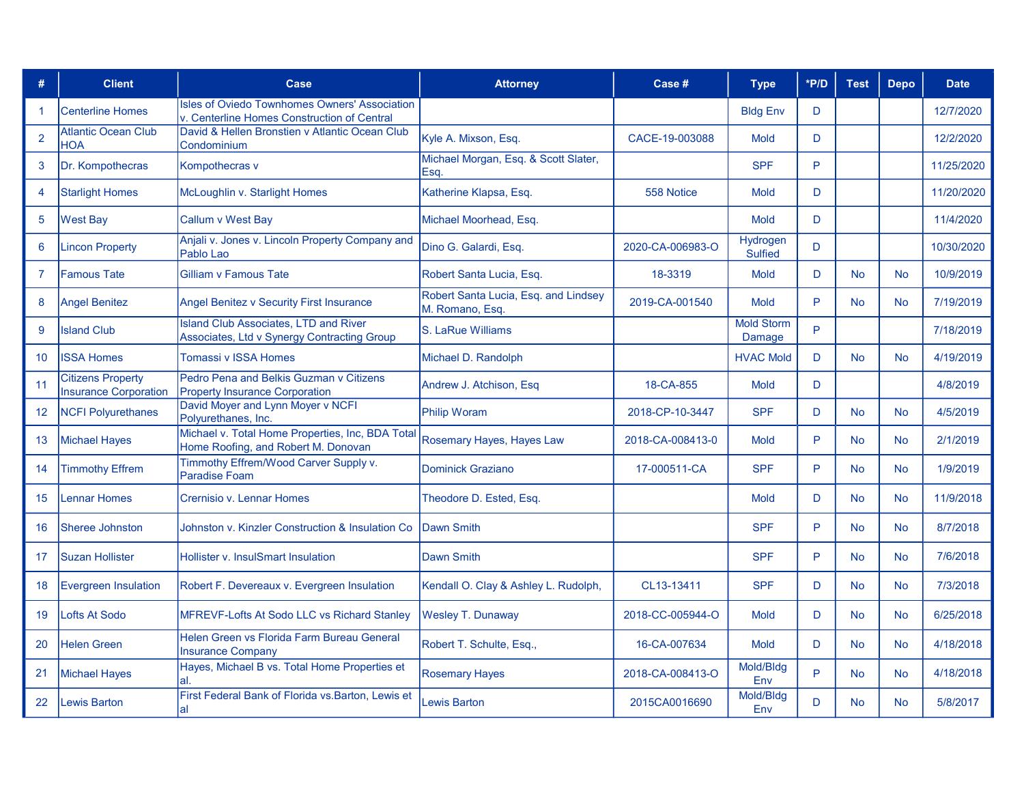| #                    | <b>Client</b>                                            | Case                                                                                         | <b>Attorney</b>                                         | Case #           | <b>Type</b>                 | *P/D | <b>Test</b> | <b>Depo</b> | <b>Date</b> |
|----------------------|----------------------------------------------------------|----------------------------------------------------------------------------------------------|---------------------------------------------------------|------------------|-----------------------------|------|-------------|-------------|-------------|
| $\blacktriangleleft$ | <b>Centerline Homes</b>                                  | Isles of Oviedo Townhomes Owners' Association<br>v. Centerline Homes Construction of Central |                                                         |                  | <b>Bldg Env</b>             | D    |             |             | 12/7/2020   |
| $\overline{2}$       | <b>Atlantic Ocean Club</b><br><b>HOA</b>                 | David & Hellen Bronstien y Atlantic Ocean Club<br>Condominium                                | Kyle A. Mixson, Esq.                                    | CACE-19-003088   | <b>Mold</b>                 | D    |             |             | 12/2/2020   |
| 3                    | Dr. Kompothecras                                         | Kompothecras v                                                                               | Michael Morgan, Esq. & Scott Slater,<br>Esq.            |                  | <b>SPF</b>                  | P    |             |             | 11/25/2020  |
| 4                    | <b>Starlight Homes</b>                                   | McLoughlin v. Starlight Homes                                                                | Katherine Klapsa, Esq.                                  | 558 Notice       | <b>Mold</b>                 | D    |             |             | 11/20/2020  |
| 5                    | <b>West Bay</b>                                          | Callum v West Bay                                                                            | Michael Moorhead, Esq.                                  |                  | <b>Mold</b>                 | D.   |             |             | 11/4/2020   |
| $6\phantom{1}6$      | <b>Lincon Property</b>                                   | Anjali v. Jones v. Lincoln Property Company and<br>Pablo Lao                                 | Dino G. Galardi, Esq.                                   | 2020-CA-006983-O | Hydrogen<br><b>Sulfied</b>  | D    |             |             | 10/30/2020  |
| $\overline{7}$       | <b>Famous Tate</b>                                       | <b>Gilliam v Famous Tate</b>                                                                 | Robert Santa Lucia, Esq.                                | 18-3319          | <b>Mold</b>                 | D    | <b>No</b>   | <b>No</b>   | 10/9/2019   |
| 8                    | <b>Angel Benitez</b>                                     | <b>Angel Benitez v Security First Insurance</b>                                              | Robert Santa Lucia, Esq. and Lindsey<br>M. Romano, Esq. | 2019-CA-001540   | <b>Mold</b>                 | P    | <b>No</b>   | <b>No</b>   | 7/19/2019   |
| 9                    | <b>Island Club</b>                                       | <b>Island Club Associates, LTD and River</b><br>Associates, Ltd v Synergy Contracting Group  | S. LaRue Williams                                       |                  | <b>Mold Storm</b><br>Damage | Þ    |             |             | 7/18/2019   |
| 10 <sup>°</sup>      | <b>ISSA Homes</b>                                        | <b>Tomassi v ISSA Homes</b>                                                                  | Michael D. Randolph                                     |                  | <b>HVAC Mold</b>            | D    | <b>No</b>   | <b>No</b>   | 4/19/2019   |
| 11                   | <b>Citizens Property</b><br><b>Insurance Corporation</b> | Pedro Pena and Belkis Guzman v Citizens<br><b>Property Insurance Corporation</b>             | Andrew J. Atchison, Esq.                                | 18-CA-855        | <b>Mold</b>                 | D    |             |             | 4/8/2019    |
| 12 <sup>2</sup>      | <b>NCFI Polyurethanes</b>                                | David Moyer and Lynn Moyer v NCFI<br>Polyurethanes, Inc.                                     | Philip Woram                                            | 2018-CP-10-3447  | <b>SPF</b>                  | D.   | <b>No</b>   | <b>No</b>   | 4/5/2019    |
| 13                   | <b>Michael Hayes</b>                                     | Michael v. Total Home Properties, Inc, BDA Total<br>Home Roofing, and Robert M. Donovan      | Rosemary Hayes, Hayes Law                               | 2018-CA-008413-0 | Mold                        | P    | <b>No</b>   | <b>No</b>   | 2/1/2019    |
| 14                   | <b>Timmothy Effrem</b>                                   | Timmothy Effrem/Wood Carver Supply v.<br><b>Paradise Foam</b>                                | Dominick Graziano                                       | 17-000511-CA     | <b>SPF</b>                  | P    | <b>No</b>   | <b>No</b>   | 1/9/2019    |
| 15                   | Lennar Homes                                             | Crernisio v. Lennar Homes                                                                    | Theodore D. Ested, Esq.                                 |                  | <b>Mold</b>                 | D.   | <b>No</b>   | <b>No</b>   | 11/9/2018   |
| 16                   | <b>Sheree Johnston</b>                                   | Johnston v. Kinzler Construction & Insulation Co                                             | Dawn Smith                                              |                  | <b>SPF</b>                  | P    | <b>No</b>   | <b>No</b>   | 8/7/2018    |
| 17                   | <b>Suzan Hollister</b>                                   | <b>Hollister v. InsulSmart Insulation</b>                                                    | <b>Dawn Smith</b>                                       |                  | <b>SPF</b>                  | P    | <b>No</b>   | <b>No</b>   | 7/6/2018    |
| 18                   | <b>Evergreen Insulation</b>                              | Robert F. Devereaux v. Evergreen Insulation                                                  | Kendall O. Clay & Ashley L. Rudolph,                    | CL13-13411       | <b>SPF</b>                  | D.   | <b>No</b>   | <b>No</b>   | 7/3/2018    |
| 19                   | Lofts At Sodo                                            | MFREVF-Lofts At Sodo LLC vs Richard Stanley                                                  | <b>Wesley T. Dunaway</b>                                | 2018-CC-005944-O | <b>Mold</b>                 | D.   | <b>No</b>   | <b>No</b>   | 6/25/2018   |
| 20                   | <b>Helen Green</b>                                       | Helen Green vs Florida Farm Bureau General<br><b>Insurance Company</b>                       | Robert T. Schulte, Esq.,                                | 16-CA-007634     | <b>Mold</b>                 | D.   | <b>No</b>   | <b>No</b>   | 4/18/2018   |
| 21                   | <b>Michael Hayes</b>                                     | Hayes, Michael B vs. Total Home Properties et<br>al.                                         | <b>Rosemary Hayes</b>                                   | 2018-CA-008413-O | Mold/Bldg<br>Env            | P    | <b>No</b>   | <b>No</b>   | 4/18/2018   |
| 22                   | <b>Lewis Barton</b>                                      | First Federal Bank of Florida vs. Barton, Lewis et<br>lal                                    | <b>Lewis Barton</b>                                     | 2015CA0016690    | Mold/Bldg<br>Env            | D    | <b>No</b>   | <b>No</b>   | 5/8/2017    |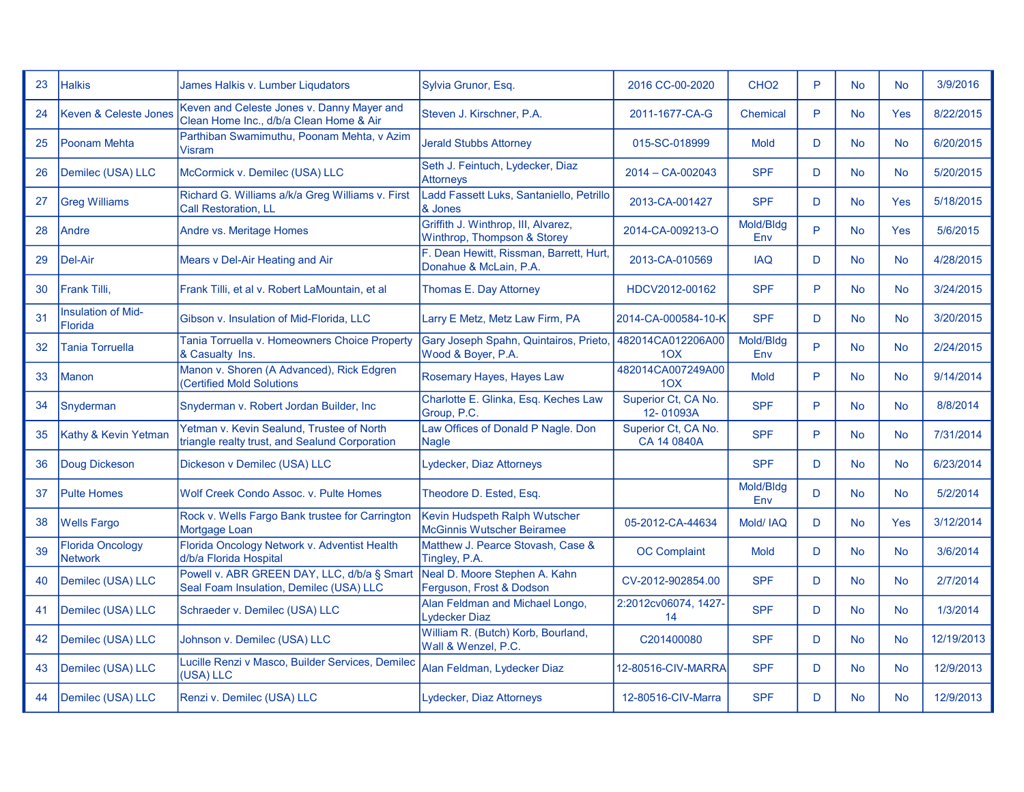| 23 | <b>Halkis</b>                             | James Halkis v. Lumber Ligudators                                                           | Sylvia Grunor, Esq.                                                | 2016 CC-00-2020                    | CHO <sub>2</sub> | P | <b>No</b> | <b>No</b>  | 3/9/2016   |
|----|-------------------------------------------|---------------------------------------------------------------------------------------------|--------------------------------------------------------------------|------------------------------------|------------------|---|-----------|------------|------------|
| 24 | Keven & Celeste Jones                     | Keven and Celeste Jones v. Danny Mayer and<br>Clean Home Inc., d/b/a Clean Home & Air       | Steven J. Kirschner, P.A.                                          | 2011-1677-CA-G                     | <b>Chemical</b>  | P | <b>No</b> | <b>Yes</b> | 8/22/2015  |
| 25 | <b>Poonam Mehta</b>                       | Parthiban Swamimuthu, Poonam Mehta, v Azim<br>Visram                                        | <b>Jerald Stubbs Attorney</b>                                      | 015-SC-018999                      | <b>Mold</b>      | D | <b>No</b> | <b>No</b>  | 6/20/2015  |
| 26 | Demilec (USA) LLC                         | McCormick v. Demilec (USA) LLC                                                              | Seth J. Feintuch, Lydecker, Diaz<br><b>Attorneys</b>               | $2014 - CA - 002043$               | <b>SPF</b>       | D | <b>No</b> | <b>No</b>  | 5/20/2015  |
| 27 | <b>Greg Williams</b>                      | Richard G. Williams a/k/a Greg Williams v. First<br><b>Call Restoration, LL</b>             | Ladd Fassett Luks, Santaniello, Petrillo<br>& Jones                | 2013-CA-001427                     | <b>SPF</b>       | D | <b>No</b> | <b>Yes</b> | 5/18/2015  |
| 28 | Andre                                     | <b>Andre vs. Meritage Homes</b>                                                             | Griffith J. Winthrop, III, Alvarez,<br>Winthrop, Thompson & Storey | 2014-CA-009213-O                   | Mold/Bldg<br>Env | P | <b>No</b> | Yes        | 5/6/2015   |
| 29 | Del-Air                                   | Mears v Del-Air Heating and Air                                                             | F. Dean Hewitt, Rissman, Barrett, Hurt,<br>Donahue & McLain, P.A.  | 2013-CA-010569                     | <b>IAQ</b>       | D | <b>No</b> | <b>No</b>  | 4/28/2015  |
| 30 | Frank Tilli,                              | Frank Tilli, et al v. Robert LaMountain, et al                                              | Thomas E. Day Attorney                                             | HDCV2012-00162                     | <b>SPF</b>       | P | <b>No</b> | <b>No</b>  | 3/24/2015  |
| 31 | <b>Insulation of Mid-</b><br>Florida      | Gibson v. Insulation of Mid-Florida, LLC                                                    | Larry E Metz, Metz Law Firm, PA                                    | 2014-CA-000584-10-K                | <b>SPF</b>       | D | No        | No         | 3/20/2015  |
| 32 | Tania Torruella                           | Tania Torruella v. Homeowners Choice Property<br>& Casualty Ins.                            | Gary Joseph Spahn, Quintairos, Prieto,<br>Wood & Boyer, P.A.       | 482014CA012206A00<br>10X           | Mold/Bldg<br>Env | P | <b>No</b> | <b>No</b>  | 2/24/2015  |
| 33 | <b>Manon</b>                              | Manon v. Shoren (A Advanced), Rick Edgren<br>(Certified Mold Solutions                      | Rosemary Hayes, Hayes Law                                          | 482014CA007249A00<br>10X           | <b>Mold</b>      | P | <b>No</b> | <b>No</b>  | 9/14/2014  |
| 34 | Snyderman                                 | Snyderman v. Robert Jordan Builder, Inc                                                     | Charlotte E. Glinka, Esq. Keches Law<br>Group, P.C.                | Superior Ct, CA No.<br>12-01093A   | <b>SPF</b>       | P | <b>No</b> | <b>No</b>  | 8/8/2014   |
| 35 | Kathy & Kevin Yetman                      | Yetman v. Kevin Sealund, Trustee of North<br>triangle realty trust, and Sealund Corporation | Law Offices of Donald P Nagle. Don<br><b>Nagle</b>                 | Superior Ct, CA No.<br>CA 14 0840A | <b>SPF</b>       | P | <b>No</b> | <b>No</b>  | 7/31/2014  |
| 36 | Doug Dickeson                             | Dickeson v Demilec (USA) LLC                                                                | Lydecker, Diaz Attorneys                                           |                                    | <b>SPF</b>       | D | <b>No</b> | <b>No</b>  | 6/23/2014  |
| 37 | <b>Pulte Homes</b>                        | Wolf Creek Condo Assoc. v. Pulte Homes                                                      | Theodore D. Ested, Esq.                                            |                                    | Mold/Bldg<br>Env | D | <b>No</b> | <b>No</b>  | 5/2/2014   |
| 38 | <b>Wells Fargo</b>                        | Rock v. Wells Fargo Bank trustee for Carrington<br>Mortgage Loan                            | Kevin Hudspeth Ralph Wutscher<br>McGinnis Wutscher Beiramee        | 05-2012-CA-44634                   | Mold/ IAQ        | D | <b>No</b> | Yes        | 3/12/2014  |
| 39 | <b>Florida Oncology</b><br><b>Network</b> | Florida Oncology Network v. Adventist Health<br>d/b/a Florida Hospital                      | Matthew J. Pearce Stovash, Case &<br>Tingley, P.A.                 | <b>OC Complaint</b>                | <b>Mold</b>      | D | <b>No</b> | <b>No</b>  | 3/6/2014   |
| 40 | Demilec (USA) LLC                         | Powell v. ABR GREEN DAY, LLC, d/b/a § Smart<br>Seal Foam Insulation, Demilec (USA) LLC      | Neal D. Moore Stephen A. Kahn<br>Ferguson, Frost & Dodson          | CV-2012-902854.00                  | <b>SPF</b>       | D | <b>No</b> | <b>No</b>  | 2/7/2014   |
| 41 | Demilec (USA) LLC                         | Schraeder v. Demilec (USA) LLC                                                              | Alan Feldman and Michael Longo,<br>Lydecker Diaz                   | 2:2012cv06074, 1427-<br>14         | <b>SPF</b>       | D | <b>No</b> | <b>No</b>  | 1/3/2014   |
| 42 | Demilec (USA) LLC                         | Johnson v. Demilec (USA) LLC                                                                | William R. (Butch) Korb, Bourland,<br>Wall & Wenzel, P.C.          | C201400080                         | <b>SPF</b>       | D | <b>No</b> | <b>No</b>  | 12/19/2013 |
| 43 | Demilec (USA) LLC                         | Lucille Renzi v Masco, Builder Services, Demilec<br>(USA) LLC                               | Alan Feldman, Lydecker Diaz                                        | 12-80516-CIV-MARRA                 | <b>SPF</b>       | D | <b>No</b> | <b>No</b>  | 12/9/2013  |
| 44 | Demilec (USA) LLC                         | Renzi v. Demilec (USA) LLC                                                                  | Lydecker, Diaz Attorneys                                           | 12-80516-CIV-Marra                 | <b>SPF</b>       | D | <b>No</b> | <b>No</b>  | 12/9/2013  |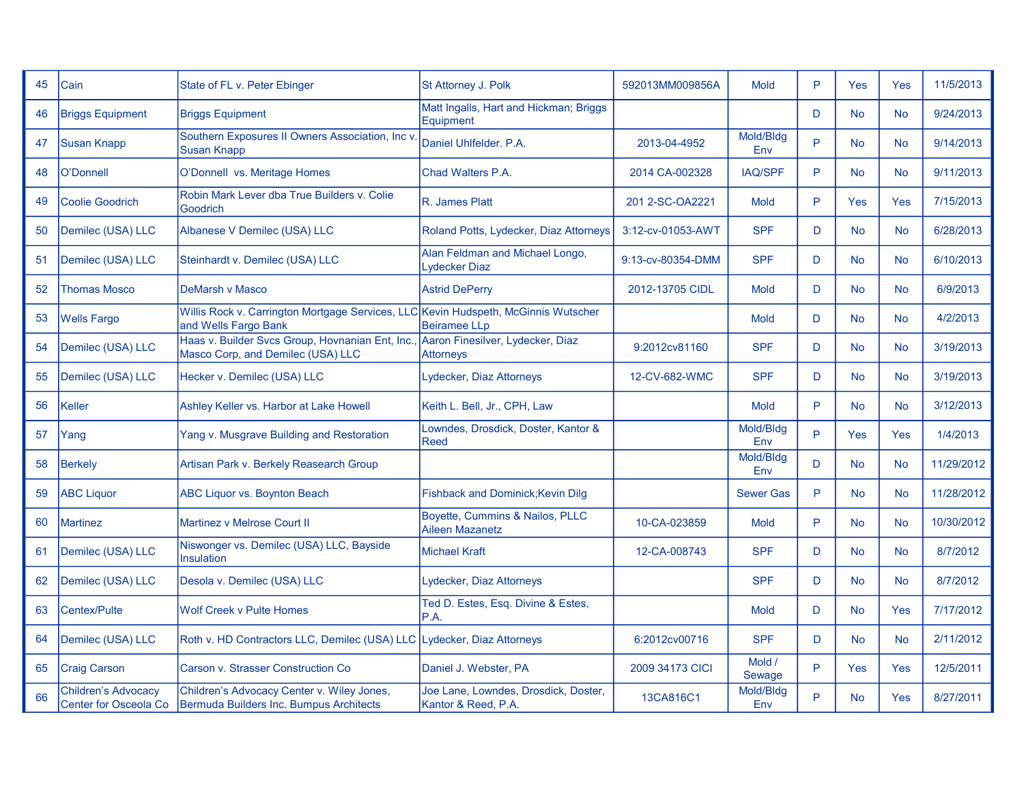| 45 | Cain                                                | State of FL v. Peter Ebinger                                                          | St Attorney J. Polk                                         | 592013MM009856A   | <b>Mold</b>      | P | Yes       | Yes       | 11/5/2013  |
|----|-----------------------------------------------------|---------------------------------------------------------------------------------------|-------------------------------------------------------------|-------------------|------------------|---|-----------|-----------|------------|
| 46 | <b>Briggs Equipment</b>                             | <b>Briggs Equipment</b>                                                               | Matt Ingalls, Hart and Hickman; Briggs<br>Equipment         |                   |                  | D | <b>No</b> | <b>No</b> | 9/24/2013  |
| 47 | <b>Susan Knapp</b>                                  | Southern Exposures II Owners Association, Inc v.<br><b>Susan Knapp</b>                | Daniel Uhlfelder, P.A.                                      | 2013-04-4952      | Mold/Bldg<br>Env | P | <b>No</b> | <b>No</b> | 9/14/2013  |
| 48 | O'Donnell                                           | O'Donnell vs. Meritage Homes                                                          | Chad Walters P.A.                                           | 2014 CA-002328    | <b>IAQ/SPF</b>   | P | <b>No</b> | <b>No</b> | 9/11/2013  |
| 49 | <b>Coolie Goodrich</b>                              | Robin Mark Lever dba True Builders v. Colie<br>Goodrich                               | R. James Platt                                              | 201 2-SC-OA2221   | <b>Mold</b>      | P | Yes       | Yes       | 7/15/2013  |
| 50 | Demilec (USA) LLC                                   | Albanese V Demilec (USA) LLC                                                          | Roland Potts, Lydecker, Diaz Attorneys                      | 3:12-cv-01053-AWT | <b>SPF</b>       | D | <b>No</b> | <b>No</b> | 6/28/2013  |
| 51 | Demilec (USA) LLC                                   | Steinhardt v. Demilec (USA) LLC                                                       | Alan Feldman and Michael Longo,<br>vdecker Diaz             | 9:13-cv-80354-DMM | <b>SPF</b>       | D | <b>No</b> | <b>No</b> | 6/10/2013  |
| 52 | <b>Thomas Mosco</b>                                 | DeMarsh v Masco                                                                       | <b>Astrid DePerry</b>                                       | 2012-13705 CIDL   | <b>Mold</b>      | D | <b>No</b> | <b>No</b> | 6/9/2013   |
| 53 | <b>Wells Fargo</b>                                  | Willis Rock v. Carrington Mortgage Services, LLC<br>and Wells Fargo Bank              | Kevin Hudspeth, McGinnis Wutscher<br><b>Beiramee LLp</b>    |                   | <b>Mold</b>      | D | <b>No</b> | <b>No</b> | 4/2/2013   |
| 54 | Demilec (USA) LLC                                   | Haas v. Builder Svcs Group, Hovnanian Ent, Inc.,<br>Masco Corp, and Demilec (USA) LLC | Aaron Finesilver, Lydecker, Diaz<br><b>Attorneys</b>        | 9:2012cv81160     | <b>SPF</b>       | D | No        | <b>No</b> | 3/19/2013  |
| 55 | Demilec (USA) LLC                                   | Hecker v. Demilec (USA) LLC                                                           | Lydecker, Diaz Attorneys                                    | 12-CV-682-WMC     | <b>SPF</b>       | D | <b>No</b> | <b>No</b> | 3/19/2013  |
| 56 | Keller                                              | Ashley Keller vs. Harbor at Lake Howell                                               | Keith L. Bell, Jr., CPH, Law                                |                   | <b>Mold</b>      | P | <b>No</b> | <b>No</b> | 3/12/2013  |
| 57 | Yang                                                | Yang v. Musgrave Building and Restoration                                             | Lowndes, Drosdick, Doster, Kantor &<br>Reed                 |                   | Mold/Bldg<br>Env | P | Yes       | Yes       | 1/4/2013   |
| 58 | <b>Berkely</b>                                      | Artisan Park v. Berkely Reasearch Group                                               |                                                             |                   | Mold/Bldg<br>Env | D | <b>No</b> | <b>No</b> | 11/29/2012 |
| 59 | <b>ABC Liquor</b>                                   | <b>ABC Liquor vs. Boynton Beach</b>                                                   | <b>Fishback and Dominick; Kevin Dilg</b>                    |                   | <b>Sewer Gas</b> | P | <b>No</b> | <b>No</b> | 11/28/2012 |
| 60 | <b>Martinez</b>                                     | <b>Martinez v Melrose Court II</b>                                                    | Boyette, Cummins & Nailos, PLLC<br>Aileen Mazanetz          | 10-CA-023859      | <b>Mold</b>      | P | No        | <b>No</b> | 10/30/2012 |
| 61 | Demilec (USA) LLC                                   | Niswonger vs. Demilec (USA) LLC, Bayside<br>Insulation                                | <b>Michael Kraft</b>                                        | 12-CA-008743      | <b>SPF</b>       | D | <b>No</b> | <b>No</b> | 8/7/2012   |
| 62 | Demilec (USA) LLC                                   | Desola v. Demilec (USA) LLC                                                           | Lydecker, Diaz Attorneys                                    |                   | <b>SPF</b>       | D | <b>No</b> | <b>No</b> | 8/7/2012   |
| 63 | Centex/Pulte                                        | <b>Wolf Creek v Pulte Homes</b>                                                       | Ted D. Estes, Esq. Divine & Estes,<br>P.A.                  |                   | <b>Mold</b>      | D | <b>No</b> | Yes       | 7/17/2012  |
| 64 | Demilec (USA) LLC                                   | Roth v. HD Contractors LLC, Demilec (USA) LLC Lydecker, Diaz Attorneys                |                                                             | 6:2012cv00716     | <b>SPF</b>       | D | <b>No</b> | <b>No</b> | 2/11/2012  |
| 65 | <b>Craig Carson</b>                                 | <b>Carson v. Strasser Construction Co</b>                                             | Daniel J. Webster, PA                                       | 2009 34173 CICI   | Mold /<br>Sewage | P | Yes       | Yes       | 12/5/2011  |
| 66 | <b>Children's Advocacy</b><br>Center for Osceola Co | Children's Advocacy Center v. Wiley Jones,<br>Bermuda Builders Inc. Bumpus Architects | Joe Lane, Lowndes, Drosdick, Doster,<br>Kantor & Reed, P.A. | 13CA816C1         | Mold/Bldg<br>Env | P | <b>No</b> | Yes       | 8/27/2011  |